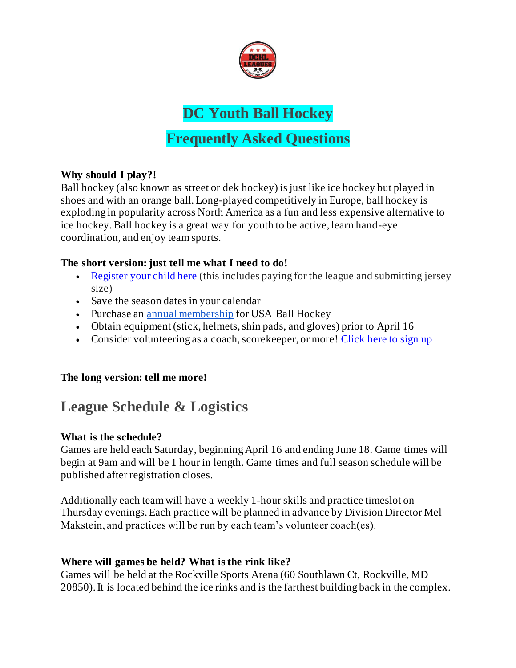

# **DC Youth Ball Hockey**

# **Frequently Asked Questions**

### **Why should I play?!**

Ball hockey (also known as street or dek hockey) is just like ice hockey but played in shoes and with an orange ball. Long-played competitively in Europe, ball hockey is exploding in popularity across North America as a fun and less expensive alternative to ice hockey. Ball hockey is a great way for youth to be active, learn hand-eye coordination, and enjoy team sports.

#### **The short version: just tell me what I need to do!**

- Register your child here (this includes paying for the league and submitting jersey size)
- Save the season dates in your calendar
- Purchase an annual membership for USA Ball Hockey
- Obtain equipment (stick, helmets, shin pads, and gloves) prior to April 16
- Consider volunteering as a coach, scorekeeper, or more! Click here to sign up

### **The long version: tell me more!**

# **League Schedule & Logistics**

### **What is the schedule?**

Games are held each Saturday, beginning April 16 and ending June 18. Game times will begin at 9am and will be 1 hour in length. Game times and full season schedule will be published after registration closes.

Additionally each team will have a weekly 1-hour skills and practice timeslot on Thursday evenings. Each practice will be planned in advance by Division Director Mel Makstein, and practices will be run by each team's volunteer coach(es).

### **Where will games be held? What is the rink like?**

Games will be held at the Rockville Sports Arena (60 Southlawn Ct, Rockville, MD 20850). It is located behind the ice rinks and is the farthest building back in the complex.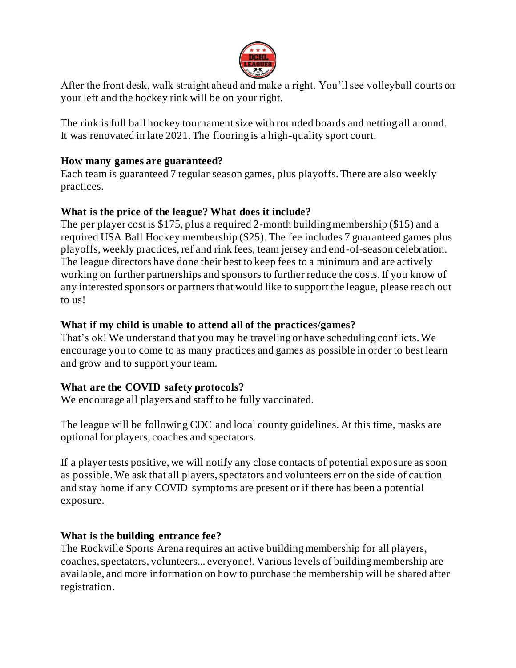

After the front desk, walk straight ahead and make a right. You'll see volleyball courts on your left and the hockey rink will be on your right.

The rink is full ball hockey tournament size with rounded boards and netting all around. It was renovated in late 2021. The flooring is a high-quality sport court.

#### **How many games are guaranteed?**

Each team is guaranteed 7 regular season games, plus playoffs. There are also weekly practices.

### **What is the price of the league? What does it include?**

The per player cost is \$175, plus a required 2-month building membership (\$15) and a required USA Ball Hockey membership (\$25). The fee includes 7 guaranteed games plus playoffs, weekly practices, ref and rink fees, team jersey and end-of-season celebration. The league directors have done their best to keep fees to a minimum and are actively working on further partnerships and sponsors to further reduce the costs. If you know of any interested sponsors or partners that would like to support the league, please reach out to us!

### **What if my child is unable to attend all of the practices/games?**

That's ok! We understand that you may be traveling or have scheduling conflicts. We encourage you to come to as many practices and games as possible in order to best learn and grow and to support your team.

#### **What are the COVID safety protocols?**

We encourage all players and staff to be fully vaccinated.

The league will be following CDC and local county guidelines. At this time, masks are optional for players, coaches and spectators.

If a player tests positive, we will notify any close contacts of potential exposure as soon as possible. We ask that all players, spectators and volunteers err on the side of caution and stay home if any COVID symptoms are present or if there has been a potential exposure.

### **What is the building entrance fee?**

The Rockville Sports Arena requires an active building membership for all players, coaches, spectators, volunteers... everyone!. Various levels of building membership are available, and more information on how to purchase the membership will be shared after registration.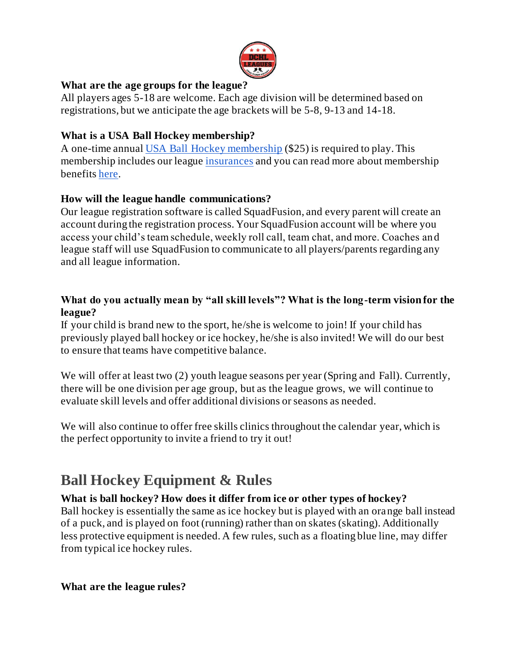

### **What are the age groups for the league?**

All players ages 5-18 are welcome. Each age division will be determined based on registrations, but we anticipate the age brackets will be 5-8, 9-13 and 14-18.

### **What is a USA Ball Hockey membership?**

A one-time annual USA Ball Hockey membership (\$25) is required to play. This membership includes our league insurances and you can read more about membership benefits here.

## **How will the league handle communications?**

Our league registration software is called SquadFusion, and every parent will create an account during the registration process. Your SquadFusion account will be where you access your child's team schedule, weekly roll call, team chat, and more. Coaches and league staff will use SquadFusion to communicate to all players/parents regarding any and all league information.

#### **What do you actually mean by "all skill levels"? What is the long-term vision for the league?**

If your child is brand new to the sport, he/she is welcome to join! If your child has previously played ball hockey or ice hockey, he/she is also invited! We will do our best to ensure that teams have competitive balance.

We will offer at least two (2) youth league seasons per year (Spring and Fall). Currently, there will be one division per age group, but as the league grows, we will continue to evaluate skill levels and offer additional divisions or seasons as needed.

We will also continue to offer free skills clinics throughout the calendar year, which is the perfect opportunity to invite a friend to try it out!

# **Ball Hockey Equipment & Rules**

### **What is ball hockey? How does it differ from ice or other types of hockey?**

Ball hockey is essentially the same as ice hockey but is played with an orange ball instead of a puck, and is played on foot (running) rather than on skates (skating). Additionally less protective equipment is needed. A few rules, such as a floating blue line, may differ from typical ice hockey rules.

**What are the league rules?**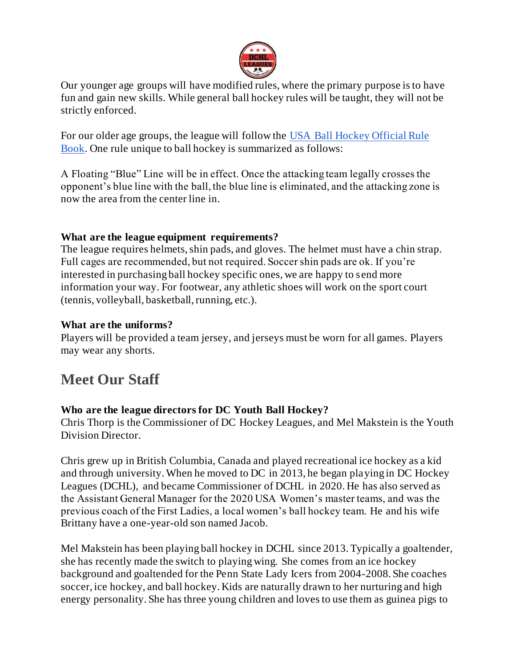

Our younger age groups will have modified rules, where the primary purpose is to have fun and gain new skills. While general ball hockey rules will be taught, they will not be strictly enforced.

For our older age groups, the league will follow the USA Ball Hockey Official Rule Book. One rule unique to ball hockey is summarized as follows:

A Floating "Blue" Line will be in effect. Once the attacking team legally crosses the opponent's blue line with the ball, the blue line is eliminated, and the attacking zone is now the area from the center line in.

#### **What are the league equipment requirements?**

The league requires helmets, shin pads, and gloves. The helmet must have a chin strap. Full cages are recommended, but not required. Soccer shin pads are ok. If you're interested in purchasing ball hockey specific ones, we are happy to send more information your way. For footwear, any athletic shoes will work on the sport court (tennis, volleyball, basketball, running, etc.).

#### **What are the uniforms?**

Players will be provided a team jersey, and jerseys must be worn for all games. Players may wear any shorts.

# **Meet Our Staff**

### **Who are the league directors for DC Youth Ball Hockey?**

Chris Thorp is the Commissioner of DC Hockey Leagues, and Mel Makstein is the Youth Division Director.

Chris grew up in British Columbia, Canada and played recreational ice hockey as a kid and through university. When he moved to DC in 2013, he began playing in DC Hockey Leagues (DCHL), and became Commissioner of DCHL in 2020. He has also served as the Assistant General Manager for the 2020 USA Women's master teams, and was the previous coach of the First Ladies, a local women's ball hockey team. He and his wife Brittany have a one-year-old son named Jacob.

Mel Makstein has been playing ball hockey in DCHL since 2013. Typically a goaltender, she has recently made the switch to playing wing. She comes from an ice hockey background and goaltended for the Penn State Lady Icers from 2004-2008. She coaches soccer, ice hockey, and ball hockey. Kids are naturally drawn to her nurturing and high energy personality. She has three young children and loves to use them as guinea pigs to